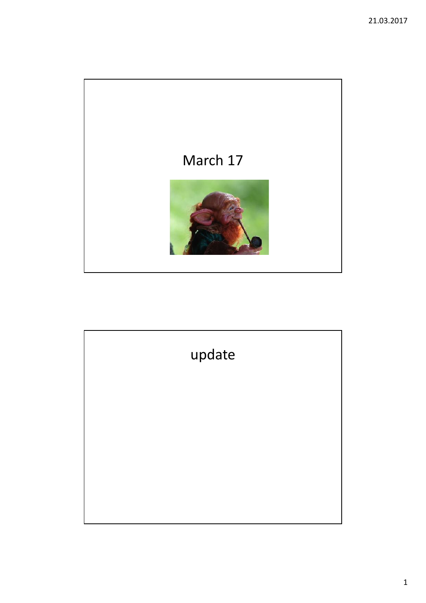

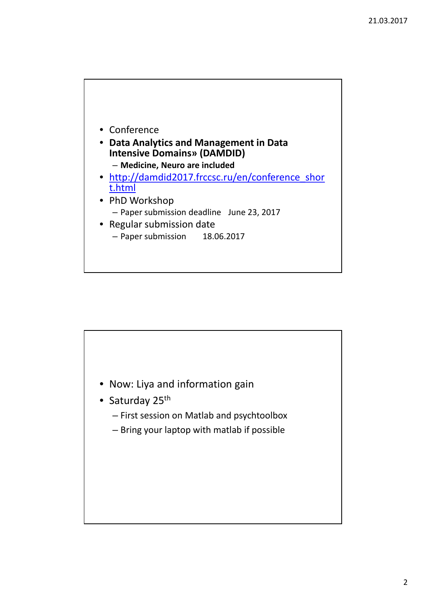

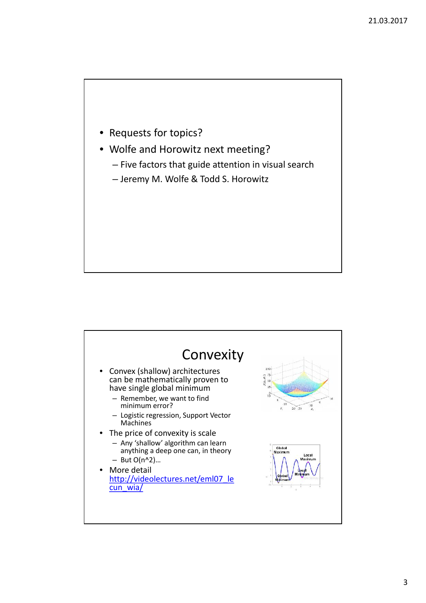- Requests for topics?
- Wolfe and Horowitz next meeting?
	- Five factors that guide attention in visual search
	- Jeremy M. Wolfe & Todd S. Horowitz

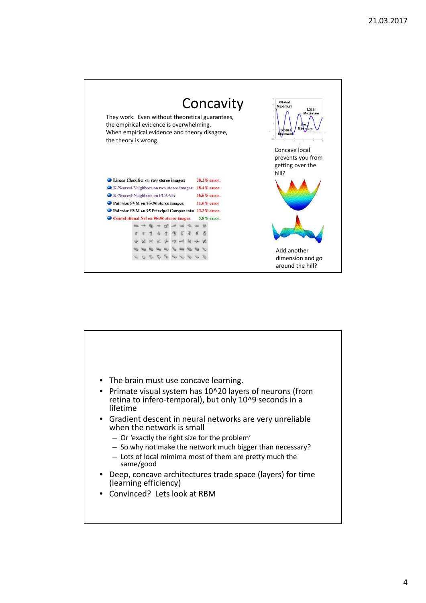

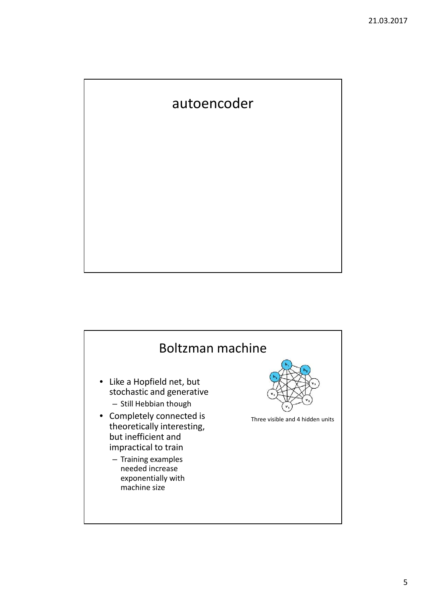## autoencoder

## Boltzman machine • Like a Hopfield net, but stochastic and generative – Still Hebbian though • Completely connected is theoretically interesting, but inefficient and impractical to train – Training examples needed increase exponentially with machine size Three visible and 4 hidden units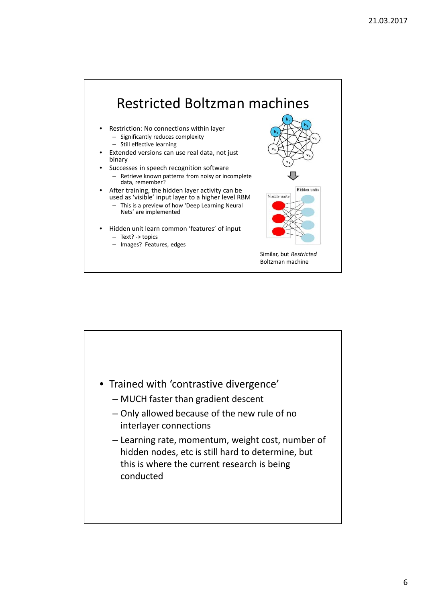

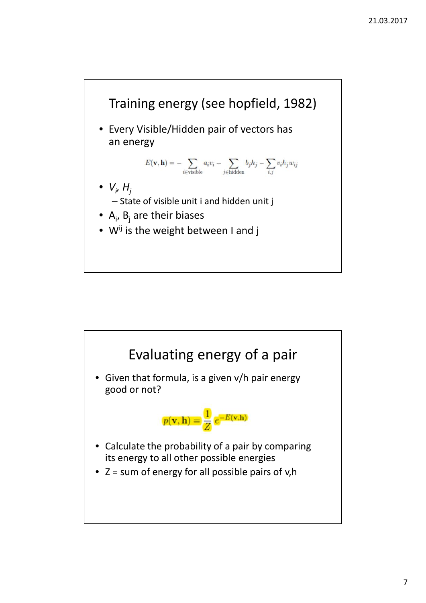

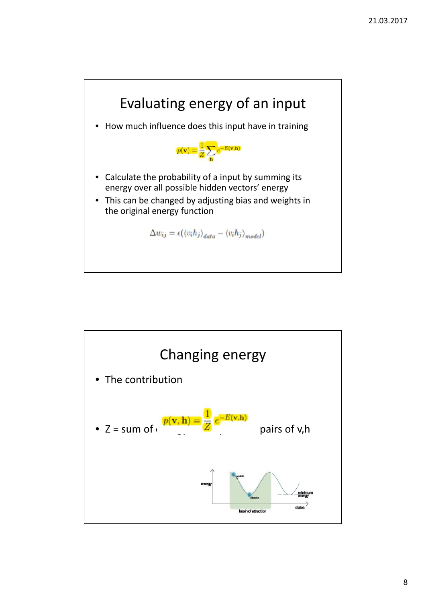

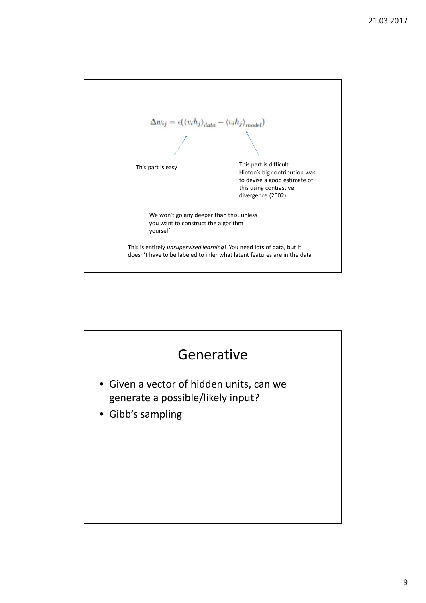